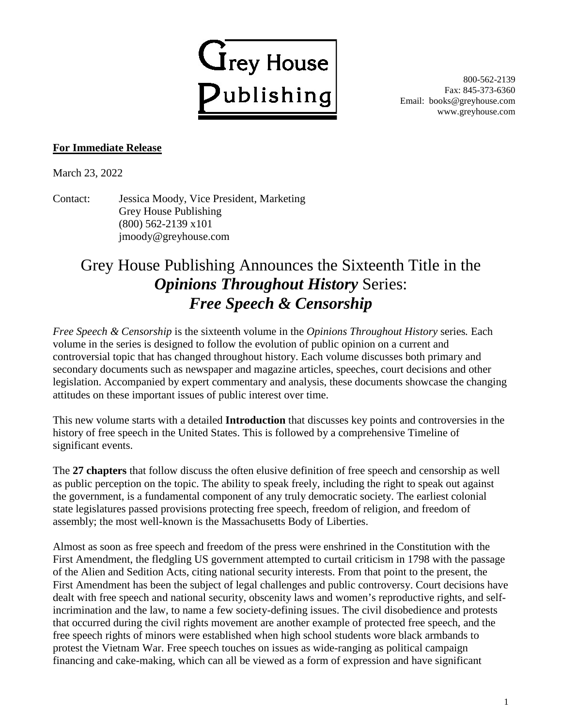

800-562-2139 Fax: 845-373-6360 Email: books@greyhouse.com www.greyhouse.com

## **For Immediate Release**

March 23, 2022

Contact: Jessica Moody, Vice President, Marketing Grey House Publishing (800) 562-2139 x101 jmoody@greyhouse.com

## Grey House Publishing Announces the Sixteenth Title in the *Opinions Throughout History* Series: *Free Speech & Censorship*

*Free Speech & Censorship* is the sixteenth volume in the *Opinions Throughout History* series*.* Each volume in the series is designed to follow the evolution of public opinion on a current and controversial topic that has changed throughout history. Each volume discusses both primary and secondary documents such as newspaper and magazine articles, speeches, court decisions and other legislation. Accompanied by expert commentary and analysis, these documents showcase the changing attitudes on these important issues of public interest over time.

This new volume starts with a detailed **Introduction** that discusses key points and controversies in the history of free speech in the United States. This is followed by a comprehensive Timeline of significant events.

The **27 chapters** that follow discuss the often elusive definition of free speech and censorship as well as public perception on the topic. The ability to speak freely, including the right to speak out against the government, is a fundamental component of any truly democratic society. The earliest colonial state legislatures passed provisions protecting free speech, freedom of religion, and freedom of assembly; the most well-known is the Massachusetts Body of Liberties.

Almost as soon as free speech and freedom of the press were enshrined in the Constitution with the First Amendment, the fledgling US government attempted to curtail criticism in 1798 with the passage of the Alien and Sedition Acts, citing national security interests. From that point to the present, the First Amendment has been the subject of legal challenges and public controversy. Court decisions have dealt with free speech and national security, obscenity laws and women's reproductive rights, and selfincrimination and the law, to name a few society-defining issues. The civil disobedience and protests that occurred during the civil rights movement are another example of protected free speech, and the free speech rights of minors were established when high school students wore black armbands to protest the Vietnam War. Free speech touches on issues as wide-ranging as political campaign financing and cake-making, which can all be viewed as a form of expression and have significant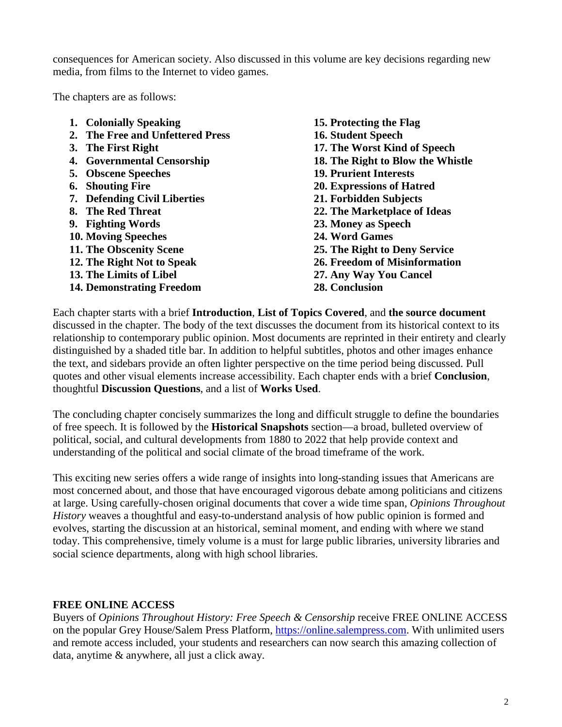consequences for American society. Also discussed in this volume are key decisions regarding new media, from films to the Internet to video games.

The chapters are as follows:

- **1. Colonially Speaking**
- **2. The Free and Unfettered Press**
- **3. The First Right**
- **4. Governmental Censorship**
- **5. Obscene Speeches**
- **6. Shouting Fire**
- **7. Defending Civil Liberties**
- **8. The Red Threat**
- **9. Fighting Words**
- **10. Moving Speeches**
- **11. The Obscenity Scene**
- **12. The Right Not to Speak**
- **13. The Limits of Libel**
- **14. Demonstrating Freedom**

**15. Protecting the Flag 16. Student Speech 17. The Worst Kind of Speech 18. The Right to Blow the Whistle 19. Prurient Interests 20. Expressions of Hatred 21. Forbidden Subjects 22. The Marketplace of Ideas 23. Money as Speech 24. Word Games 25. The Right to Deny Service 26. Freedom of Misinformation 27. Any Way You Cancel 28. Conclusion**

Each chapter starts with a brief **Introduction**, **List of Topics Covered**, and **the source document** discussed in the chapter. The body of the text discusses the document from its historical context to its relationship to contemporary public opinion. Most documents are reprinted in their entirety and clearly distinguished by a shaded title bar. In addition to helpful subtitles, photos and other images enhance the text, and sidebars provide an often lighter perspective on the time period being discussed. Pull quotes and other visual elements increase accessibility. Each chapter ends with a brief **Conclusion**, thoughtful **Discussion Questions**, and a list of **Works Used**.

The concluding chapter concisely summarizes the long and difficult struggle to define the boundaries of free speech. It is followed by the **Historical Snapshots** section—a broad, bulleted overview of political, social, and cultural developments from 1880 to 2022 that help provide context and understanding of the political and social climate of the broad timeframe of the work.

This exciting new series offers a wide range of insights into long-standing issues that Americans are most concerned about, and those that have encouraged vigorous debate among politicians and citizens at large. Using carefully-chosen original documents that cover a wide time span, *Opinions Throughout History* weaves a thoughtful and easy-to-understand analysis of how public opinion is formed and evolves, starting the discussion at an historical, seminal moment, and ending with where we stand today. This comprehensive, timely volume is a must for large public libraries, university libraries and social science departments, along with high school libraries.

## **FREE ONLINE ACCESS**

Buyers of *Opinions Throughout History: Free Speech & Censorship* receive FREE ONLINE ACCESS on the popular Grey House/Salem Press Platform, [https://online.salempress.com.](https://online.salempress.com/) With unlimited users and remote access included, your students and researchers can now search this amazing collection of data, anytime & anywhere, all just a click away.